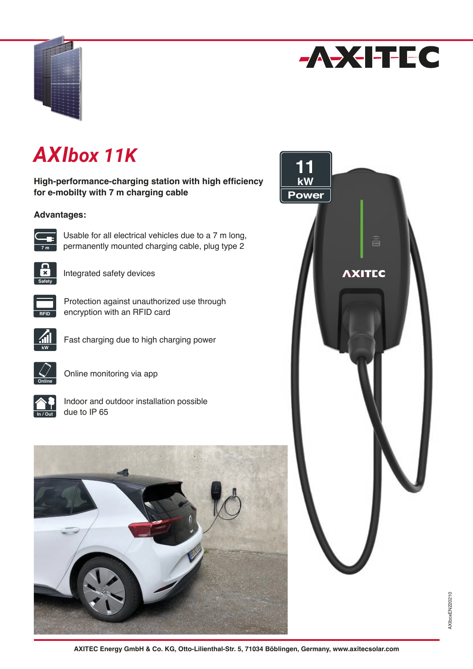



# *AXIbox 11K*

**High-performance-charging station with high efficiency for e-mobilty with 7 m charging cable**

# **Advantages:**



Usable for all electrical vehicles due to a 7 m long, permanently mounted charging cable, plug type 2



Integrated safety devices



Protection against unauthorized use through encryption with an RFID card



Fast charging due to high charging power



Online monitoring via app

| пĦ<br>Φ |
|---------|

Indoor and outdoor installation possible due to IP 65